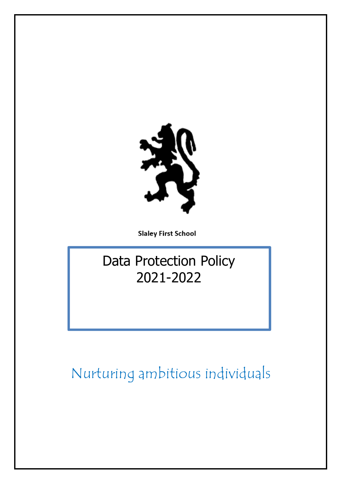

**Slaley First School** 

# Data Protection Policy 2021-2022

Nurturing ambitious individuals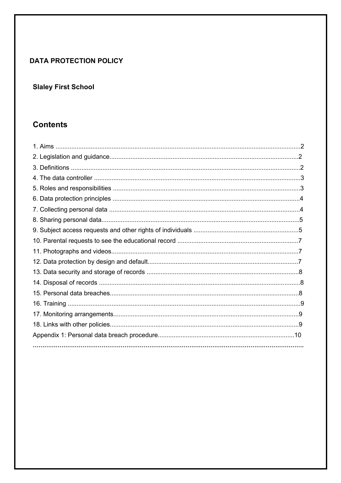# **DATA PROTECTION POLICY**

# **Slaley First School**

# **Contents**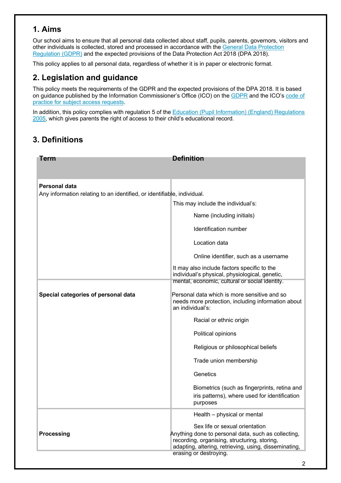# **1. Aims**

Our school aims to ensure that all personal data collected about staff, pupils, parents, governors, visitors and other individuals is collected, stored and processed in accordance with the General Data Protection Regulation (GDPR) and the expected provisions of the Data Protection Act 2018 (DPA 2018).

This policy applies to all personal data, regardless of whether it is in paper or electronic format.

# **2. Legislation and guidance**

This policy meets the requirements of the GDPR and the expected provisions of the DPA 2018. It is based on guidance published by the Information Commissioner's Office (ICO) on the GDPR and the ICO's code of practice for subject access requests.

In addition, this policy complies with regulation 5 of the Education (Pupil Information) (England) Regulations 2005, which gives parents the right of access to their child's educational record.

# **3. Definitions**

| Term                                                                    | <b>Definition</b>                                                                                                                                                                                                        |  |  |  |
|-------------------------------------------------------------------------|--------------------------------------------------------------------------------------------------------------------------------------------------------------------------------------------------------------------------|--|--|--|
|                                                                         |                                                                                                                                                                                                                          |  |  |  |
| Personal data                                                           |                                                                                                                                                                                                                          |  |  |  |
| Any information relating to an identified, or identifiable, individual. |                                                                                                                                                                                                                          |  |  |  |
|                                                                         | This may include the individual's:                                                                                                                                                                                       |  |  |  |
|                                                                         | Name (including initials)                                                                                                                                                                                                |  |  |  |
|                                                                         | Identification number                                                                                                                                                                                                    |  |  |  |
|                                                                         | Location data                                                                                                                                                                                                            |  |  |  |
|                                                                         | Online identifier, such as a username                                                                                                                                                                                    |  |  |  |
|                                                                         | It may also include factors specific to the<br>individual's physical, physiological, genetic,<br>mental, economic, cultural or social identity.                                                                          |  |  |  |
| Special categories of personal data                                     | Personal data which is more sensitive and so<br>needs more protection, including information about<br>an individual's:                                                                                                   |  |  |  |
|                                                                         | Racial or ethnic origin                                                                                                                                                                                                  |  |  |  |
|                                                                         | Political opinions                                                                                                                                                                                                       |  |  |  |
|                                                                         | Religious or philosophical beliefs                                                                                                                                                                                       |  |  |  |
|                                                                         | Trade union membership                                                                                                                                                                                                   |  |  |  |
|                                                                         | Genetics                                                                                                                                                                                                                 |  |  |  |
|                                                                         | Biometrics (such as fingerprints, retina and<br>iris patterns), where used for identification<br>purposes                                                                                                                |  |  |  |
|                                                                         | Health - physical or mental                                                                                                                                                                                              |  |  |  |
| <b>Processing</b>                                                       | Sex life or sexual orientation<br>Anything done to personal data, such as collecting,<br>recording, organising, structuring, storing,<br>adapting, altering, retrieving, using, disseminating,<br>erasing or destroying. |  |  |  |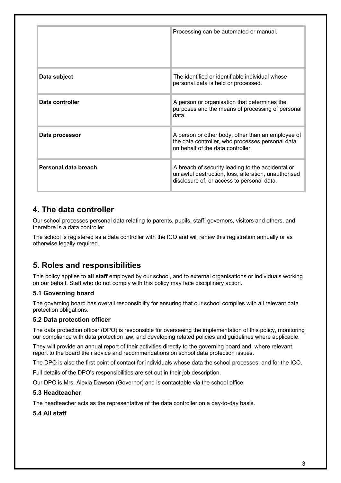|                      | Processing can be automated or manual.                                                                                                                  |  |
|----------------------|---------------------------------------------------------------------------------------------------------------------------------------------------------|--|
| Data subject         | The identified or identifiable individual whose<br>personal data is held or processed.                                                                  |  |
| Data controller      | A person or organisation that determines the<br>purposes and the means of processing of personal<br>data.                                               |  |
| Data processor       | A person or other body, other than an employee of<br>the data controller, who processes personal data<br>on behalf of the data controller.              |  |
| Personal data breach | A breach of security leading to the accidental or<br>unlawful destruction, loss, alteration, unauthorised<br>disclosure of, or access to personal data. |  |

## **4. The data controller**

Our school processes personal data relating to parents, pupils, staff, governors, visitors and others, and therefore is a data controller.

The school is registered as a data controller with the ICO and will renew this registration annually or as otherwise legally required.

# **5. Roles and responsibilities**

This policy applies to **all staff** employed by our school, and to external organisations or individuals working on our behalf. Staff who do not comply with this policy may face disciplinary action.

### **5.1 Governing board**

The governing board has overall responsibility for ensuring that our school complies with all relevant data protection obligations.

### **5.2 Data protection officer**

The data protection officer (DPO) is responsible for overseeing the implementation of this policy, monitoring our compliance with data protection law, and developing related policies and guidelines where applicable.

They will provide an annual report of their activities directly to the governing board and, where relevant, report to the board their advice and recommendations on school data protection issues.

The DPO is also the first point of contact for individuals whose data the school processes, and for the ICO.

Full details of the DPO's responsibilities are set out in their job description.

Our DPO is Mrs. Alexia Dawson (Governor) and is contactable via the school office.

#### **5.3 Headteacher**

The headteacher acts as the representative of the data controller on a day-to-day basis.

### **5.4 All staff**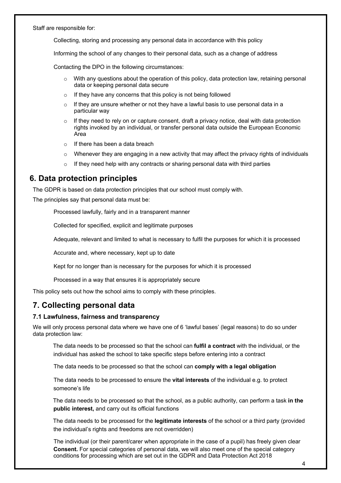Staff are responsible for:

Collecting, storing and processing any personal data in accordance with this policy

Informing the school of any changes to their personal data, such as a change of address

Contacting the DPO in the following circumstances:

- $\circ$  With any questions about the operation of this policy, data protection law, retaining personal data or keeping personal data secure
- o If they have any concerns that this policy is not being followed
- $\circ$  If they are unsure whether or not they have a lawful basis to use personal data in a particular way
- $\circ$  If they need to rely on or capture consent, draft a privacy notice, deal with data protection rights invoked by an individual, or transfer personal data outside the European Economic Area
- $\circ$  If there has been a data breach
- $\circ$  Whenever they are engaging in a new activity that may affect the privacy rights of individuals
- o If they need help with any contracts or sharing personal data with third parties

## **6. Data protection principles**

The GDPR is based on data protection principles that our school must comply with.

The principles say that personal data must be:

Processed lawfully, fairly and in a transparent manner

Collected for specified, explicit and legitimate purposes

Adequate, relevant and limited to what is necessary to fulfil the purposes for which it is processed

Accurate and, where necessary, kept up to date

Kept for no longer than is necessary for the purposes for which it is processed

Processed in a way that ensures it is appropriately secure

This policy sets out how the school aims to comply with these principles.

# **7. Collecting personal data**

#### **7.1 Lawfulness, fairness and transparency**

We will only process personal data where we have one of 6 'lawful bases' (legal reasons) to do so under data protection law:

 The data needs to be processed so that the school can **fulfil a contract** with the individual, or the individual has asked the school to take specific steps before entering into a contract

!!!The data needs to be processed so that the school can **comply with a legal obligation**

!!!The data needs to be processed to ensure the **vital interests** of the individual e.g. to protect someone's life

 The data needs to be processed so that the school, as a public authority, can perform a task **in the public interest,** and carry out its official functions

 The data needs to be processed for the **legitimate interests** of the school or a third party (provided the individual's rights and freedoms are not overridden)

The individual (or their parent/carer when appropriate in the case of a pupil) has freely given clear **Consent.** For special categories of personal data, we will also meet one of the special category conditions for processing which are set out in the GDPR and Data Protection Act 2018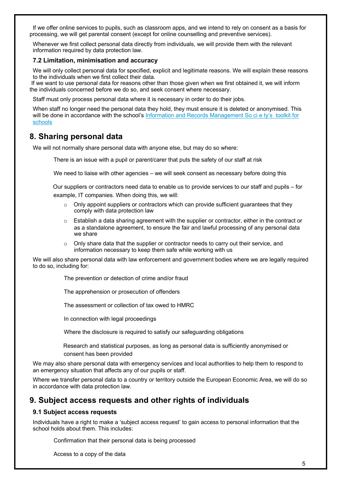If we offer online services to pupils, such as classroom apps, and we intend to rely on consent as a basis for processing, we will get parental consent (except for online counselling and preventive services).

Whenever we first collect personal data directly from individuals, we will provide them with the relevant information required by data protection law.

#### **7.2 Limitation, minimisation and accuracy**

We will only collect personal data for specified, explicit and legitimate reasons. We will explain these reasons to the individuals when we first collect their data.

 If we want to use personal data for reasons other than those given when we first obtained it, we will inform the individuals concerned before we do so, and seek consent where necessary.

Staff must only process personal data where it is necessary in order to do their jobs.

When staff no longer need the personal data they hold, they must ensure it is deleted or anonymised. This will be done in accordance with the school's Information and Records Management So ci e ty's toolkit for schools

## **8. Sharing personal data**

We will not normally share personal data with anyone else, but may do so where:

There is an issue with a pupil or parent/carer that puts the safety of our staff at risk

We need to liaise with other agencies – we will seek consent as necessary before doing this

 Our suppliers or contractors need data to enable us to provide services to our staff and pupils – for example, IT companies. When doing this, we will:

- $\circ$  Only appoint suppliers or contractors which can provide sufficient quarantees that they comply with data protection law
- $\circ$  Establish a data sharing agreement with the supplier or contractor, either in the contract or as a standalone agreement, to ensure the fair and lawful processing of any personal data we share
- $\circ$  Only share data that the supplier or contractor needs to carry out their service, and information necessary to keep them safe while working with us

We will also share personal data with law enforcement and government bodies where we are legally required to do so, including for:

The prevention or detection of crime and/or fraud

The apprehension or prosecution of offenders

The assessment or collection of tax owed to HMRC

In connection with legal proceedings

Where the disclosure is required to satisfy our safeguarding obligations

 Research and statistical purposes, as long as personal data is sufficiently anonymised or consent has been provided

We may also share personal data with emergency services and local authorities to help them to respond to an emergency situation that affects any of our pupils or staff.

Where we transfer personal data to a country or territory outside the European Economic Area, we will do so in accordance with data protection law.

## **9. Subject access requests and other rights of individuals**

#### **9.1 Subject access requests**

Individuals have a right to make a 'subject access request' to gain access to personal information that the school holds about them. This includes:

Confirmation that their personal data is being processed

Access to a copy of the data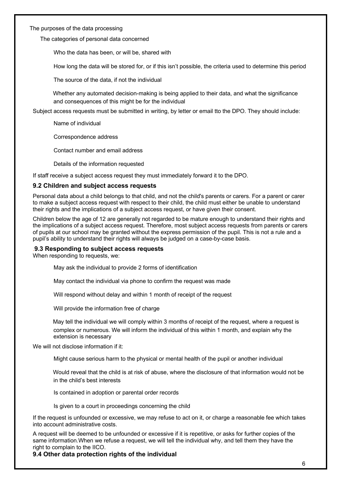The purposes of the data processing

The categories of personal data concerned

Who the data has been, or will be, shared with

How long the data will be stored for, or if this isn't possible, the criteria used to determine this period

The source of the data, if not the individual

 Whether any automated decision-making is being applied to their data, and what the significance and consequences of this might be for the individual

Subject access requests must be submitted in writing, by letter or email tto the DPO. They should include:

Name of individual

Correspondence address

Contact number and email address

Details of the information requested

If staff receive a subject access request they must immediately forward it to the DPO.

#### **9.2 Children and subject access requests**

Personal data about a child belongs to that child, and not the child's parents or carers. For a parent or carer to make a subject access request with respect to their child, the child must either be unable to understand their rights and the implications of a subject access request, or have given their consent.

Children below the age of 12 are generally not regarded to be mature enough to understand their rights and the implications of a subject access request. Therefore, most subject access requests from parents or carers of pupils at our school may be granted without the express permission of the pupil. This is not a rule and a pupil's ability to understand their rights will always be judged on a case-by-case basis.

#### *.***9.3 Responding to subject access requests**

When responding to requests, we:

May ask the individual to provide 2 forms of identification

May contact the individual via phone to confirm the request was made

Will respond without delay and within 1 month of receipt of the request

Will provide the information free of charge

 May tell the individual we will comply within 3 months of receipt of the request, where a request is complex or numerous. We will inform the individual of this within 1 month, and explain why the extension is necessary

We will not disclose information if it:

!!!Might cause serious harm to the physical or mental health of the pupil or another individual

 Would reveal that the child is at risk of abuse, where the disclosure of that information would not be in the child's best interests

Is contained in adoption or parental order records

Is given to a court in proceedings concerning the child

If the request is unfounded or excessive, we may refuse to act on it, or charge a reasonable fee which takes into account administrative costs.

A request will be deemed to be unfounded or excessive if it is repetitive, or asks for further copies of the same information.When we refuse a request, we will tell the individual why, and tell them they have the right to complain to the IICO.

**9.4 Other data protection rights of the individual**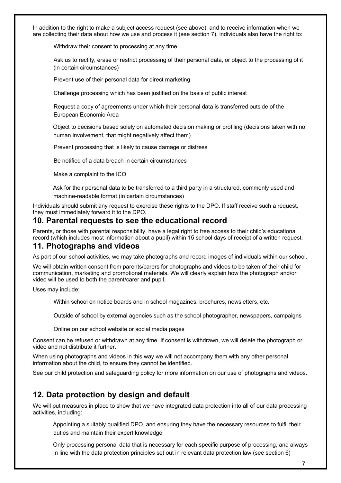In addition to the right to make a subject access request (see above), and to receive information when we are collecting their data about how we use and process it (see section 7), individuals also have the right to:

Withdraw their consent to processing at any time

Ask us to rectify, erase or restrict processing of their personal data, or object to the processing of it (in certain circumstances)

Prevent use of their personal data for direct marketing

Challenge processing which has been justified on the basis of public interest

Request a copy of agreements under which their personal data is transferred outside of the European Economic Area

 Object to decisions based solely on automated decision making or profiling (decisions taken with no human involvement, that might negatively affect them)

Prevent processing that is likely to cause damage or distress

Be notified of a data breach in certain circumstances

Make a complaint to the ICO

 Ask for their personal data to be transferred to a third party in a structured, commonly used and machine-readable format (in certain circumstances)

Individuals should submit any request to exercise these rights to the DPO. If staff receive such a request, they must immediately forward it to the DPO.

## **10. Parental requests to see the educational record**

Parents, or those with parental responsibility, have a legal right to free access to their child's educational record (which includes most information about a pupil) within 15 school days of receipt of a written request.

## **11. Photographs and videos**

As part of our school activities, we may take photographs and record images of individuals within our school.

We will obtain written consent from parents/carers for photographs and videos to be taken of their child for communication, marketing and promotional materials. We will clearly explain how the photograph and/or video will be used to both the parent/carer and pupil.

Uses may include:

Within school on notice boards and in school magazines, brochures, newsletters, etc.

Outside of school by external agencies such as the school photographer, newspapers, campaigns

Online on our school website or social media pages

Consent can be refused or withdrawn at any time. If consent is withdrawn, we will delete the photograph or video and not distribute it further.

When using photographs and videos in this way we will not accompany them with any other personal information about the child, to ensure they cannot be identified.

See our child protection and safeguarding policy for more information on our use of photographs and videos.

## **12. Data protection by design and default**

We will put measures in place to show that we have integrated data protection into all of our data processing activities, including:

 Appointing a suitably qualified DPO, and ensuring they have the necessary resources to fulfil their duties and maintain their expert knowledge

 Only processing personal data that is necessary for each specific purpose of processing, and always in line with the data protection principles set out in relevant data protection law (see section 6)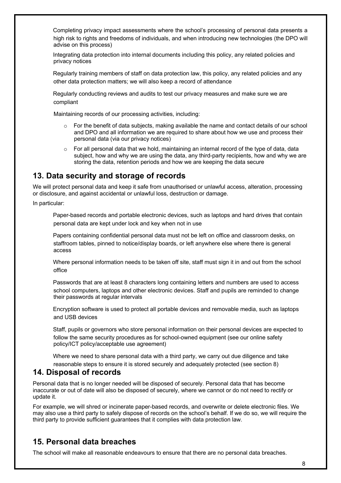Completing privacy impact assessments where the school's processing of personal data presents a high risk to rights and freedoms of individuals, and when introducing new technologies (the DPO will advise on this process)

 Integrating data protection into internal documents including this policy, any related policies and privacy notices

 Regularly training members of staff on data protection law, this policy, any related policies and any other data protection matters; we will also keep a record of attendance

 Regularly conducting reviews and audits to test our privacy measures and make sure we are compliant

Maintaining records of our processing activities, including:

- $\circ$  For the benefit of data subjects, making available the name and contact details of our school and DPO and all information we are required to share about how we use and process their personal data (via our privacy notices)
- $\circ$  For all personal data that we hold, maintaining an internal record of the type of data, data subject, how and why we are using the data, any third-party recipients, how and why we are storing the data, retention periods and how we are keeping the data secure

## **13. Data security and storage of records**

We will protect personal data and keep it safe from unauthorised or unlawful access, alteration, processing or disclosure, and against accidental or unlawful loss, destruction or damage.

In particular:

 Paper-based records and portable electronic devices, such as laptops and hard drives that contain personal data are kept under lock and key when not in use

 Papers containing confidential personal data must not be left on office and classroom desks, on staffroom tables, pinned to notice/display boards, or left anywhere else where there is general access

 Where personal information needs to be taken off site, staff must sign it in and out from the school office

 Passwords that are at least 8 characters long containing letters and numbers are used to access school computers, laptops and other electronic devices. Staff and pupils are reminded to change their passwords at regular intervals

 Encryption software is used to protect all portable devices and removable media, such as laptops and USB devices

 Staff, pupils or governors who store personal information on their personal devices are expected to follow the same security procedures as for school-owned equipment (see our online safety policy/ICT policy/acceptable use agreement)

 Where we need to share personal data with a third party, we carry out due diligence and take reasonable steps to ensure it is stored securely and adequately protected (see section 8)

# **14. Disposal of records**

Personal data that is no longer needed will be disposed of securely. Personal data that has become inaccurate or out of date will also be disposed of securely, where we cannot or do not need to rectify or update it.

For example, we will shred or incinerate paper-based records, and overwrite or delete electronic files. We may also use a third party to safely dispose of records on the school's behalf. If we do so, we will require the third party to provide sufficient guarantees that it complies with data protection law.

# **15. Personal data breaches**

The school will make all reasonable endeavours to ensure that there are no personal data breaches.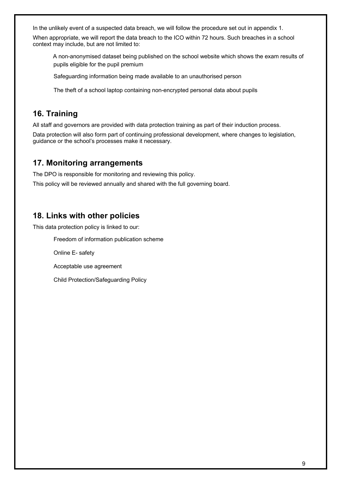In the unlikely event of a suspected data breach, we will follow the procedure set out in appendix 1.

When appropriate, we will report the data breach to the ICO within 72 hours. Such breaches in a school context may include, but are not limited to:

 A non-anonymised dataset being published on the school website which shows the exam results of pupils eligible for the pupil premium

Safeguarding information being made available to an unauthorised person

The theft of a school laptop containing non-encrypted personal data about pupils

## **16. Training**

All staff and governors are provided with data protection training as part of their induction process.

Data protection will also form part of continuing professional development, where changes to legislation, guidance or the school's processes make it necessary.

## **17. Monitoring arrangements**

The DPO is responsible for monitoring and reviewing this policy.

This policy will be reviewed annually and shared with the full governing board.

## **18. Links with other policies**

This data protection policy is linked to our:

Freedom of information publication scheme

Online E- safety

Acceptable use agreement

Child Protection/Safeguarding Policy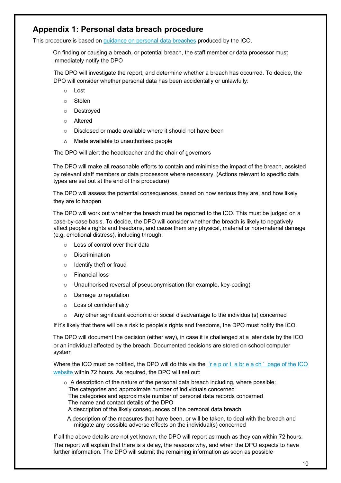# **Appendix 1: Personal data breach procedure**

This procedure is based on guidance on personal data breaches produced by the ICO.

 On finding or causing a breach, or potential breach, the staff member or data processor must immediately notify the DPO

The DPO will investigate the report, and determine whether a breach has occurred. To decide, the DPO will consider whether personal data has been accidentally or unlawfully:

- o Lost
- o Stolen
- o Destroyed
- o Altered
- o Disclosed or made available where it should not have been
- o Made available to unauthorised people

The DPO will alert the headteacher and the chair of governors

 The DPO will make all reasonable efforts to contain and minimise the impact of the breach, assisted by relevant staff members or data processors where necessary. (Actions relevant to specific data types are set out at the end of this procedure)

 The DPO will assess the potential consequences, based on how serious they are, and how likely they are to happen

 The DPO will work out whether the breach must be reported to the ICO. This must be judged on a case-by-case basis. To decide, the DPO will consider whether the breach is likely to negatively affect people's rights and freedoms, and cause them any physical, material or non-material damage (e.g. emotional distress), including through:

- o Loss of control over their data
- o Discrimination
- o Identify theft or fraud
- o Financial loss
- o Unauthorised reversal of pseudonymisation (for example, key-coding)
- o Damage to reputation
- o Loss of confidentiality
- Any other significant economic or social disadvantage to the individual(s) concerned

If it's likely that there will be a risk to people's rights and freedoms, the DPO must notify the ICO.

 The DPO will document the decision (either way), in case it is challenged at a later date by the ICO or an individual affected by the breach. Documented decisions are stored on school computer system

Where the ICO must be notified, the DPO will do this via the 'rep or t a breach' page of the ICO website within 72 hours. As required, the DPO will set out:

 $\circ$  A description of the nature of the personal data breach including, where possible: The categories and approximate number of individuals concerned The categories and approximate number of personal data records concerned The name and contact details of the DPO A description of the likely consequences of the personal data breach

A description of the measures that have been, or will be taken, to deal with the breach and mitigate any possible adverse effects on the individual(s) concerned

If all the above details are not yet known, the DPO will report as much as they can within 72 hours. The report will explain that there is a delay, the reasons why, and when the DPO expects to have further information. The DPO will submit the remaining information as soon as possible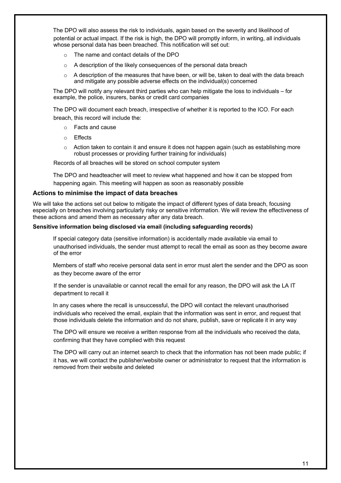The DPO will also assess the risk to individuals, again based on the severity and likelihood of potential or actual impact. If the risk is high, the DPO will promptly inform, in writing, all individuals whose personal data has been breached. This notification will set out:

- o The name and contact details of the DPO
- o A description of the likely consequences of the personal data breach
- $\circ$  A description of the measures that have been, or will be, taken to deal with the data breach and mitigate any possible adverse effects on the individual(s) concerned

 The DPO will notify any relevant third parties who can help mitigate the loss to individuals – for example, the police, insurers, banks or credit card companies

 The DPO will document each breach, irrespective of whether it is reported to the ICO. For each breach, this record will include the:

- o Facts and cause
- o Effects
- $\circ$  Action taken to contain it and ensure it does not happen again (such as establishing more robust processes or providing further training for individuals)

Records of all breaches will be stored on school computer system

 The DPO and headteacher will meet to review what happened and how it can be stopped from happening again. This meeting will happen as soon as reasonably possible

#### **Actions to minimise the impact of data breaches**

We will take the actions set out below to mitigate the impact of different types of data breach, focusing especially on breaches involving particularly risky or sensitive information. We will review the effectiveness of these actions and amend them as necessary after any data breach.

#### **Sensitive information being disclosed via email (including safeguarding records)**

 If special category data (sensitive information) is accidentally made available via email to unauthorised individuals, the sender must attempt to recall the email as soon as they become aware of the error

 Members of staff who receive personal data sent in error must alert the sender and the DPO as soon as they become aware of the error

If the sender is unavailable or cannot recall the email for any reason, the DPO will ask the LA IT department to recall it

 In any cases where the recall is unsuccessful, the DPO will contact the relevant unauthorised individuals who received the email, explain that the information was sent in error, and request that those individuals delete the information and do not share, publish, save or replicate it in any way

 The DPO will ensure we receive a written response from all the individuals who received the data, confirming that they have complied with this request

 The DPO will carry out an internet search to check that the information has not been made public; if it has, we will contact the publisher/website owner or administrator to request that the information is removed from their website and deleted